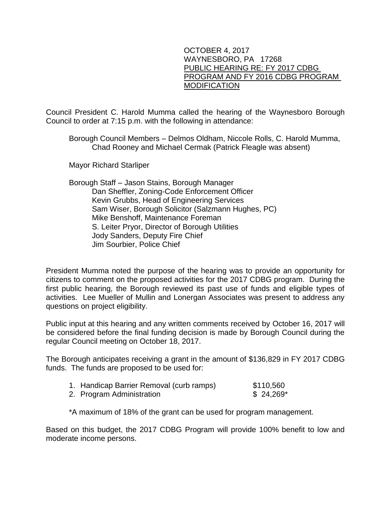## OCTOBER 4, 2017 WAYNESBORO, PA 17268 PUBLIC HEARING RE: FY 2017 CDBG PROGRAM AND FY 2016 CDBG PROGRAM MODIFICATION

Council President C. Harold Mumma called the hearing of the Waynesboro Borough Council to order at 7:15 p.m. with the following in attendance:

Borough Council Members – Delmos Oldham, Niccole Rolls, C. Harold Mumma, Chad Rooney and Michael Cermak (Patrick Fleagle was absent)

Mayor Richard Starliper

Borough Staff – Jason Stains, Borough Manager Dan Sheffler, Zoning-Code Enforcement Officer Kevin Grubbs, Head of Engineering Services Sam Wiser, Borough Solicitor (Salzmann Hughes, PC) Mike Benshoff, Maintenance Foreman S. Leiter Pryor, Director of Borough Utilities Jody Sanders, Deputy Fire Chief Jim Sourbier, Police Chief

President Mumma noted the purpose of the hearing was to provide an opportunity for citizens to comment on the proposed activities for the 2017 CDBG program. During the first public hearing, the Borough reviewed its past use of funds and eligible types of activities. Lee Mueller of Mullin and Lonergan Associates was present to address any questions on project eligibility.

Public input at this hearing and any written comments received by October 16, 2017 will be considered before the final funding decision is made by Borough Council during the regular Council meeting on October 18, 2017.

The Borough anticipates receiving a grant in the amount of \$136,829 in FY 2017 CDBG funds. The funds are proposed to be used for:

| 1. Handicap Barrier Removal (curb ramps) | \$110,560   |
|------------------------------------------|-------------|
| 2. Program Administration                | $$24,269$ * |

\*A maximum of 18% of the grant can be used for program management.

Based on this budget, the 2017 CDBG Program will provide 100% benefit to low and moderate income persons.